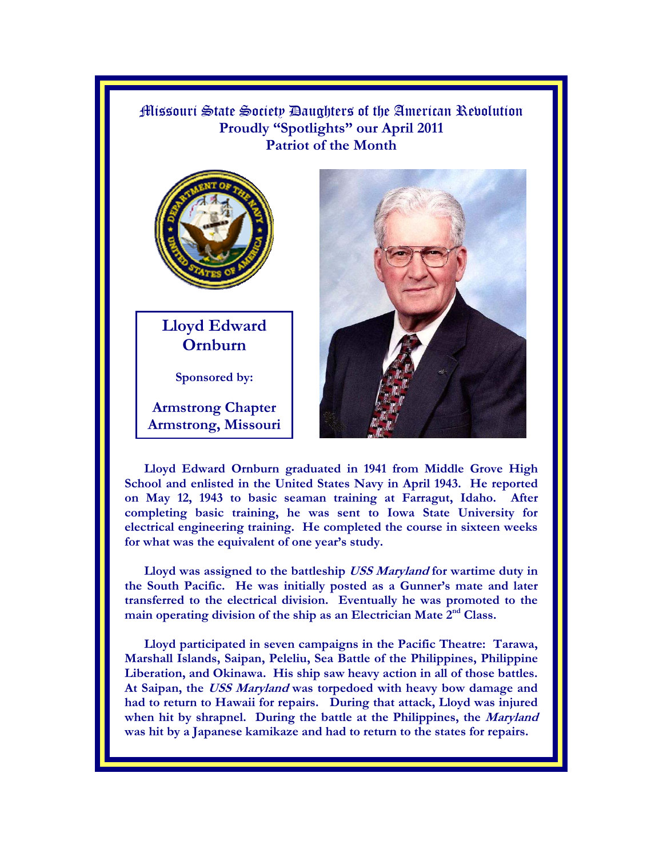Missouri State Society Daughters of the American Revolution **Proudly "Spotlights" our April 2011 Patriot of the Month**



**Lloyd Edward Ornburn** 

**Sponsored by:** 

**Armstrong Chapter Armstrong, Missouri** 



**Lloyd Edward Ornburn graduated in 1941 from Middle Grove High School and enlisted in the United States Navy in April 1943. He reported on May 12, 1943 to basic seaman training at Farragut, Idaho. After completing basic training, he was sent to Iowa State University for electrical engineering training. He completed the course in sixteen weeks for what was the equivalent of one year's study.** 

**Lloyd was assigned to the battleship USS Maryland for wartime duty in the South Pacific. He was initially posted as a Gunner's mate and later transferred to the electrical division. Eventually he was promoted to the**  main operating division of the ship as an Electrician Mate 2<sup>nd</sup> Class.

**Lloyd participated in seven campaigns in the Pacific Theatre: Tarawa, Marshall Islands, Saipan, Peleliu, Sea Battle of the Philippines, Philippine Liberation, and Okinawa. His ship saw heavy action in all of those battles. At Saipan, the USS Maryland was torpedoed with heavy bow damage and had to return to Hawaii for repairs. During that attack, Lloyd was injured when hit by shrapnel. During the battle at the Philippines, the Maryland was hit by a Japanese kamikaze and had to return to the states for repairs.**